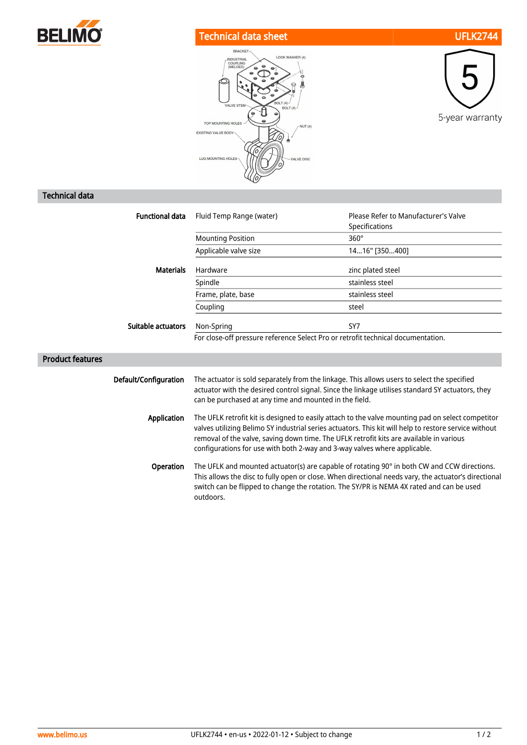

## Technical data sheet UFLK2744





## Technical data

| <b>Functional data</b>  | Fluid Temp Range (water)                                                                                                                                                                                                                                                                                                                                                           | Please Refer to Manufacturer's Valve<br>Specifications |
|-------------------------|------------------------------------------------------------------------------------------------------------------------------------------------------------------------------------------------------------------------------------------------------------------------------------------------------------------------------------------------------------------------------------|--------------------------------------------------------|
|                         | <b>Mounting Position</b>                                                                                                                                                                                                                                                                                                                                                           | $360^\circ$                                            |
|                         | Applicable valve size                                                                                                                                                                                                                                                                                                                                                              | 1416" [350400]                                         |
| <b>Materials</b>        | Hardware                                                                                                                                                                                                                                                                                                                                                                           | zinc plated steel                                      |
|                         | Spindle                                                                                                                                                                                                                                                                                                                                                                            | stainless steel                                        |
|                         | Frame, plate, base                                                                                                                                                                                                                                                                                                                                                                 | stainless steel                                        |
|                         | Coupling                                                                                                                                                                                                                                                                                                                                                                           | steel                                                  |
| Suitable actuators      | Non-Spring                                                                                                                                                                                                                                                                                                                                                                         | SY7                                                    |
|                         | For close-off pressure reference Select Pro or retrofit technical documentation.                                                                                                                                                                                                                                                                                                   |                                                        |
| <b>Product features</b> |                                                                                                                                                                                                                                                                                                                                                                                    |                                                        |
| Default/Configuration   | The actuator is sold separately from the linkage. This allows users to select the specified<br>actuator with the desired control signal. Since the linkage utilises standard SY actuators, they<br>can be purchased at any time and mounted in the field.                                                                                                                          |                                                        |
| <b>Application</b>      | The UFLK retrofit kit is designed to easily attach to the valve mounting pad on select competitor<br>valves utilizing Belimo SY industrial series actuators. This kit will help to restore service without<br>removal of the valve, saving down time. The UFLK retrofit kits are available in various<br>configurations for use with both 2-way and 3-way valves where applicable. |                                                        |
| Operation               | The UFLK and mounted actuator(s) are capable of rotating 90° in both CW and CCW directions.<br>This allows the disc to fully open or close. When directional needs vary, the actuator's directional<br>switch can be flipped to change the rotation. The SY/PR is NEMA 4X rated and can be used<br>outdoors.                                                                       |                                                        |